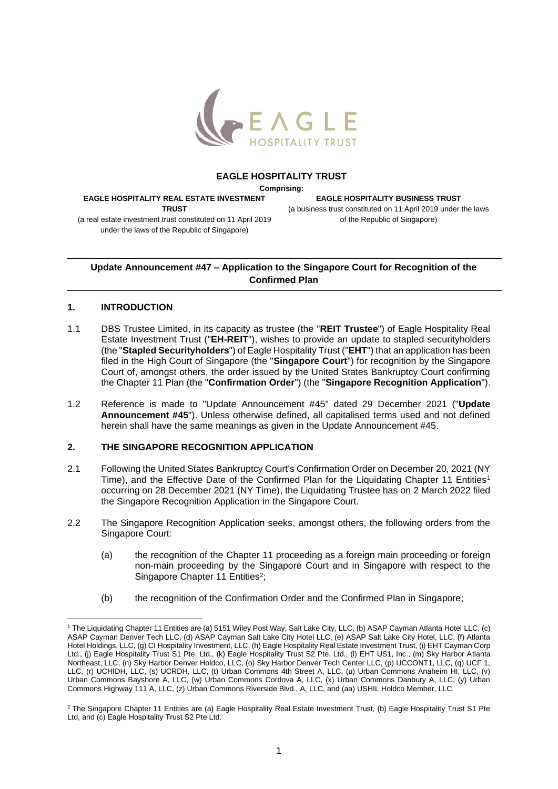

## **EAGLE HOSPITALITY TRUST**

**Comprising:**

**EAGLE HOSPITALITY REAL ESTATE INVESTMENT TRUST**

**EAGLE HOSPITALITY BUSINESS TRUST** (a business trust constituted on 11 April 2019 under the laws of the Republic of Singapore)

(a real estate investment trust constituted on 11 April 2019 under the laws of the Republic of Singapore)

**Update Announcement #47 – Application to the Singapore Court for Recognition of the Confirmed Plan** 

## **1. INTRODUCTION**

- 1.1 DBS Trustee Limited, in its capacity as trustee (the "**REIT Trustee**") of Eagle Hospitality Real Estate Investment Trust ("**EH-REIT**"), wishes to provide an update to stapled securityholders (the "**Stapled Securityholders**") of Eagle Hospitality Trust ("**EHT**") that an application has been filed in the High Court of Singapore (the "**Singapore Court**") for recognition by the Singapore Court of, amongst others, the order issued by the United States Bankruptcy Court confirming the Chapter 11 Plan (the "**Confirmation Order**") (the "**Singapore Recognition Application**").
- 1.2 Reference is made to "Update Announcement #45" dated 29 December 2021 ("**Update Announcement #45**"). Unless otherwise defined, all capitalised terms used and not defined herein shall have the same meanings as given in the Update Announcement #45.

## **2. THE SINGAPORE RECOGNITION APPLICATION**

- 2.1 Following the United States Bankruptcy Court's Confirmation Order on December 20, 2021 (NY Time), and the Effective Date of the Confirmed Plan for the Liquidating Chapter 11 Entities<sup>1</sup> occurring on 28 December 2021 (NY Time), the Liquidating Trustee has on 2 March 2022 filed the Singapore Recognition Application in the Singapore Court.
- 2.2 The Singapore Recognition Application seeks, amongst others, the following orders from the Singapore Court:
	- (a) the recognition of the Chapter 11 proceeding as a foreign main proceeding or foreign non-main proceeding by the Singapore Court and in Singapore with respect to the Singapore Chapter 11 Entities<sup>2</sup>;
	- (b) the recognition of the Confirmation Order and the Confirmed Plan in Singapore;

<sup>1</sup> The Liquidating Chapter 11 Entities are (a) 5151 Wiley Post Way, Salt Lake City, LLC, (b) ASAP Cayman Atlanta Hotel LLC, (c) ASAP Cayman Denver Tech LLC, (d) ASAP Cayman Salt Lake City Hotel LLC, (e) ASAP Salt Lake City Hotel, LLC, (f) Atlanta Hotel Holdings, LLC, (g) CI Hospitality Investment, LLC, (h) Eagle Hospitality Real Estate Investment Trust, (i) EHT Cayman Corp Ltd., (j) Eagle Hospitality Trust S1 Pte. Ltd., (k) Eagle Hospitality Trust S2 Pte. Ltd., (l) EHT US1, Inc., (m) Sky Harbor Atlanta Northeast, LLC, (n) Sky Harbor Denver Holdco, LLC, (o) Sky Harbor Denver Tech Center LLC, (p) UCCONT1, LLC, (q) UCF 1, LLC, (r) UCHIDH, LLC, (s) UCRDH, LLC, (t) Urban Commons 4th Street A, LLC, (u) Urban Commons Anaheim HI, LLC, (v) Urban Commons Bayshore A, LLC, (w) Urban Commons Cordova A, LLC, (x) Urban Commons Danbury A, LLC, (y) Urban Commons Highway 111 A, LLC, (z) Urban Commons Riverside Blvd., A, LLC, and (aa) USHIL Holdco Member, LLC.

<sup>&</sup>lt;sup>2</sup> The Singapore Chapter 11 Entities are (a) Eagle Hospitality Real Estate Investment Trust, (b) Eagle Hospitality Trust S1 Pte Ltd, and (c) Eagle Hospitality Trust S2 Pte Ltd.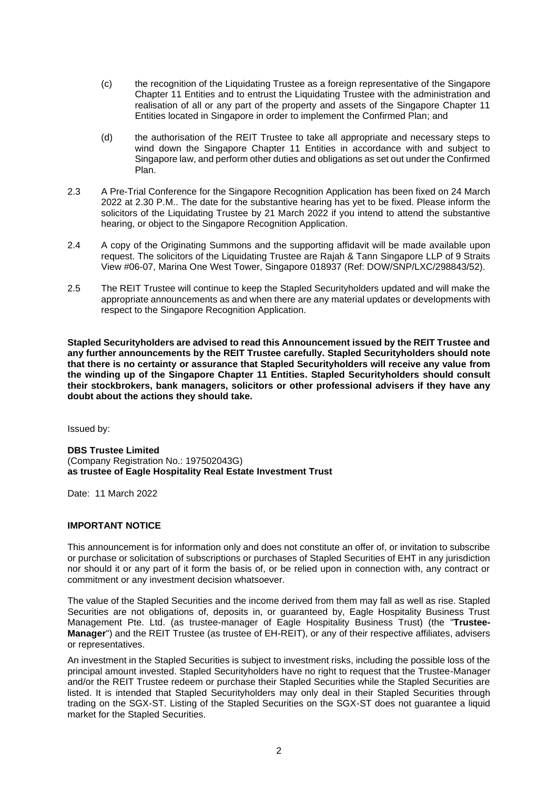- (c) the recognition of the Liquidating Trustee as a foreign representative of the Singapore Chapter 11 Entities and to entrust the Liquidating Trustee with the administration and realisation of all or any part of the property and assets of the Singapore Chapter 11 Entities located in Singapore in order to implement the Confirmed Plan; and
- (d) the authorisation of the REIT Trustee to take all appropriate and necessary steps to wind down the Singapore Chapter 11 Entities in accordance with and subject to Singapore law, and perform other duties and obligations as set out under the Confirmed Plan.
- 2.3 A Pre-Trial Conference for the Singapore Recognition Application has been fixed on 24 March 2022 at 2.30 P.M.. The date for the substantive hearing has yet to be fixed. Please inform the solicitors of the Liquidating Trustee by 21 March 2022 if you intend to attend the substantive hearing, or object to the Singapore Recognition Application.
- 2.4 A copy of the Originating Summons and the supporting affidavit will be made available upon request. The solicitors of the Liquidating Trustee are Rajah & Tann Singapore LLP of 9 Straits View #06-07, Marina One West Tower, Singapore 018937 (Ref: DOW/SNP/LXC/298843/52).
- 2.5 The REIT Trustee will continue to keep the Stapled Securityholders updated and will make the appropriate announcements as and when there are any material updates or developments with respect to the Singapore Recognition Application.

**Stapled Securityholders are advised to read this Announcement issued by the REIT Trustee and any further announcements by the REIT Trustee carefully. Stapled Securityholders should note that there is no certainty or assurance that Stapled Securityholders will receive any value from the winding up of the Singapore Chapter 11 Entities. Stapled Securityholders should consult their stockbrokers, bank managers, solicitors or other professional advisers if they have any doubt about the actions they should take.**

Issued by:

**DBS Trustee Limited** (Company Registration No.: 197502043G) **as trustee of Eagle Hospitality Real Estate Investment Trust**

Date: 11 March 2022

## **IMPORTANT NOTICE**

This announcement is for information only and does not constitute an offer of, or invitation to subscribe or purchase or solicitation of subscriptions or purchases of Stapled Securities of EHT in any jurisdiction nor should it or any part of it form the basis of, or be relied upon in connection with, any contract or commitment or any investment decision whatsoever.

The value of the Stapled Securities and the income derived from them may fall as well as rise. Stapled Securities are not obligations of, deposits in, or guaranteed by, Eagle Hospitality Business Trust Management Pte. Ltd. (as trustee-manager of Eagle Hospitality Business Trust) (the "**Trustee-Manager**") and the REIT Trustee (as trustee of EH-REIT), or any of their respective affiliates, advisers or representatives.

An investment in the Stapled Securities is subject to investment risks, including the possible loss of the principal amount invested. Stapled Securityholders have no right to request that the Trustee-Manager and/or the REIT Trustee redeem or purchase their Stapled Securities while the Stapled Securities are listed. It is intended that Stapled Securityholders may only deal in their Stapled Securities through trading on the SGX-ST. Listing of the Stapled Securities on the SGX-ST does not guarantee a liquid market for the Stapled Securities.